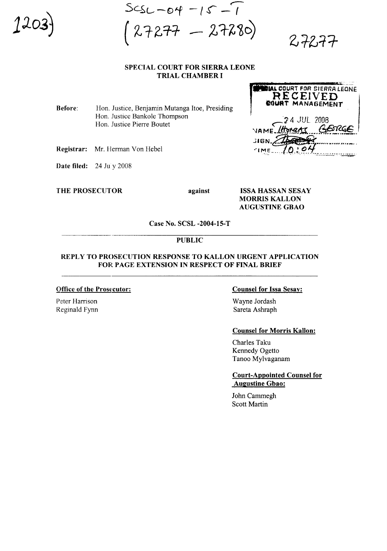$SCSL-04 -15 -1$  $27277 - 27280$ 

 $2777$ 

# SPECIAL COURT FOR SIERRA LEONE TRIAL CHAMBER I

Before: Hon. Justice, Benjamin Mutanga Itoe, Presiding Hon. Justice Bankole Thompson Hon. Justice Pierre Boutet

Registrar: Mr. Herman Von Hebel

Date filed: 24 July 2008

THE PROSECUTOR against

ISSA HASSAN SESAY MORRIS KALLON AUGUSTINE GBAO

Case No. SCSL -2004-15-T

#### PUBLIC

# REPLY TO PROSECUTION RESPONSE TO KALLON URGENT APPLICATION FOR PAGE EXTENSION IN RESPECT OF FINAL BRIEF

## Office of the Prosecutor:

Peter Harrison Reginald Fynn

## Counsel for Issa Sesay:

Wayne Jordash Sareta Ashraph

#### Counsel for Morris Kallon:

Charles Taku Kennedy Ogetto Tanoo Mylvaganam

Court-Appointed Counsel for Augustine Gbao:

John Cammegh Scott Martin

**TAL COURT FOR SIERRA LEONE**<br> **RECEIVED** ~'J 4 .JUL. 2008 VAME./HUMATI COUP 310N. L. A . De Maria de Papares es es es es es en  $1 m_{E}$  /0:04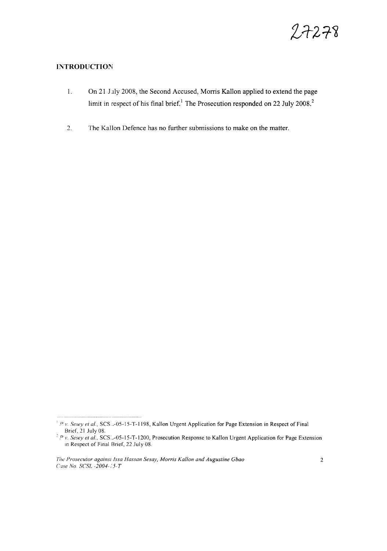

# **INTRODUCTION**

- 1. On 21 July 2008, the Second Accused, Morris Kallon applied to extend the page limit in respect of his final brief.<sup>1</sup> The Prosecution responded on 22 July 2008.<sup>2</sup>
- 2. The Kallon Defence has no further submissions to make on the matter.

<sup>&</sup>lt;sup>1</sup> *P* v. *Sesey et al.*, SCS<sub>-2</sub>-05-15-T-1198, Kallon Urgent Application for Page Extension in Respect of Final Brief, 21 July 08.

<sup>&</sup>lt;sup>2</sup> *P v. Sesey et al.*, SCS: -05-15-T-1200, Prosecution Response to Kallon Urgent Application for Page Extension In Respect of Final Brief, 22 July 08.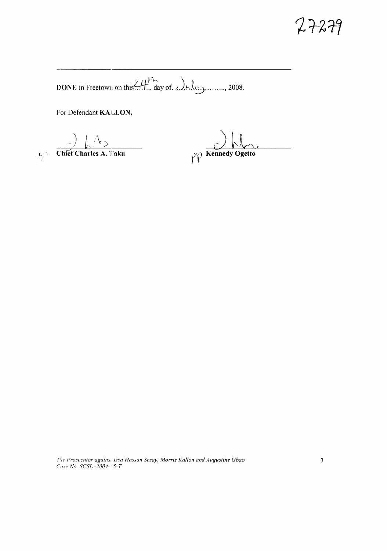# $7 + 279$

DONE in Freetown on this  $III$  day of  $Q$  h de guineral 2008.

For Defendant KALLON,

 $\bigcap_{\mathcal{O}_{\sum}}$  Chief Charles A. Taku

 $\gamma$  Kennedy Ogetto

The Prosecutor agains: Issa Hassan Sesay, Morris Kallon and Augustine Gbao Case No. SCSL -2004-15-T